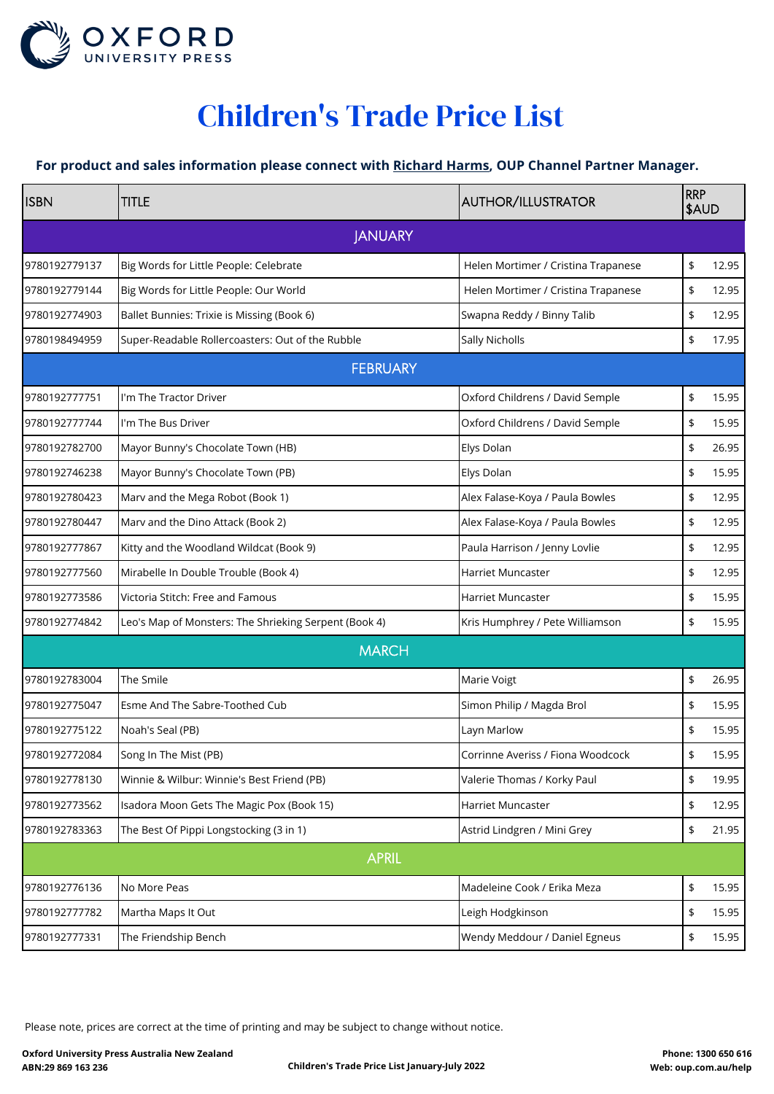

## Children's Trade Price List

## **[For product and sales information please connect with Richard Harms, OUP Channel Partner Manager.](mailto:richard.harms@oup.com)**

| <b>ISBN</b>   | <b>TITLE</b>                                          | <b>AUTHOR/ILLUSTRATOR</b>           | <b>RRP</b><br>\$AUD |       |
|---------------|-------------------------------------------------------|-------------------------------------|---------------------|-------|
|               | <b>JANUARY</b>                                        |                                     |                     |       |
| 9780192779137 | Big Words for Little People: Celebrate                | Helen Mortimer / Cristina Trapanese | \$                  | 12.95 |
| 9780192779144 | Big Words for Little People: Our World                | Helen Mortimer / Cristina Trapanese | \$                  | 12.95 |
| 9780192774903 | Ballet Bunnies: Trixie is Missing (Book 6)            | Swapna Reddy / Binny Talib          | \$                  | 12.95 |
| 9780198494959 | Super-Readable Rollercoasters: Out of the Rubble      | Sally Nicholls                      | \$                  | 17.95 |
|               | <b>FEBRUARY</b>                                       |                                     |                     |       |
| 9780192777751 | I'm The Tractor Driver                                | Oxford Childrens / David Semple     | \$                  | 15.95 |
| 9780192777744 | I'm The Bus Driver                                    | Oxford Childrens / David Semple     | \$                  | 15.95 |
| 9780192782700 | Mayor Bunny's Chocolate Town (HB)                     | Elys Dolan                          | \$                  | 26.95 |
| 9780192746238 | Mayor Bunny's Chocolate Town (PB)                     | Elys Dolan                          | \$                  | 15.95 |
| 9780192780423 | Marv and the Mega Robot (Book 1)                      | Alex Falase-Koya / Paula Bowles     | \$                  | 12.95 |
| 9780192780447 | Marv and the Dino Attack (Book 2)                     | Alex Falase-Koya / Paula Bowles     | \$                  | 12.95 |
| 9780192777867 | Kitty and the Woodland Wildcat (Book 9)               | Paula Harrison / Jenny Lovlie       | \$                  | 12.95 |
| 9780192777560 | Mirabelle In Double Trouble (Book 4)                  | Harriet Muncaster                   | \$                  | 12.95 |
| 9780192773586 | Victoria Stitch: Free and Famous                      | Harriet Muncaster                   | \$                  | 15.95 |
| 9780192774842 | Leo's Map of Monsters: The Shrieking Serpent (Book 4) | Kris Humphrey / Pete Williamson     | \$                  | 15.95 |
|               | <b>MARCH</b>                                          |                                     |                     |       |
| 9780192783004 | The Smile                                             | Marie Voigt                         | \$                  | 26.95 |
| 9780192775047 | Esme And The Sabre-Toothed Cub                        | Simon Philip / Magda Brol           | \$                  | 15.95 |
| 9780192775122 | Noah's Seal (PB)                                      | Layn Marlow                         | \$                  | 15.95 |
| 9780192772084 | Song In The Mist (PB)                                 | Corrinne Averiss / Fiona Woodcock   | \$                  | 15.95 |
| 9780192778130 | Winnie & Wilbur: Winnie's Best Friend (PB)            | Valerie Thomas / Korky Paul         | \$                  | 19.95 |
| 9780192773562 | Isadora Moon Gets The Magic Pox (Book 15)             | Harriet Muncaster                   | \$                  | 12.95 |
| 9780192783363 | The Best Of Pippi Longstocking (3 in 1)               | Astrid Lindgren / Mini Grey         | \$                  | 21.95 |
|               | <b>APRIL</b>                                          |                                     |                     |       |
| 9780192776136 | No More Peas                                          | Madeleine Cook / Erika Meza         | \$                  | 15.95 |
| 9780192777782 | Martha Maps It Out                                    | Leigh Hodgkinson                    | \$                  | 15.95 |
| 9780192777331 | The Friendship Bench                                  | Wendy Meddour / Daniel Egneus       | \$                  | 15.95 |

Please note, prices are correct at the time of printing and may be subject to change without notice.